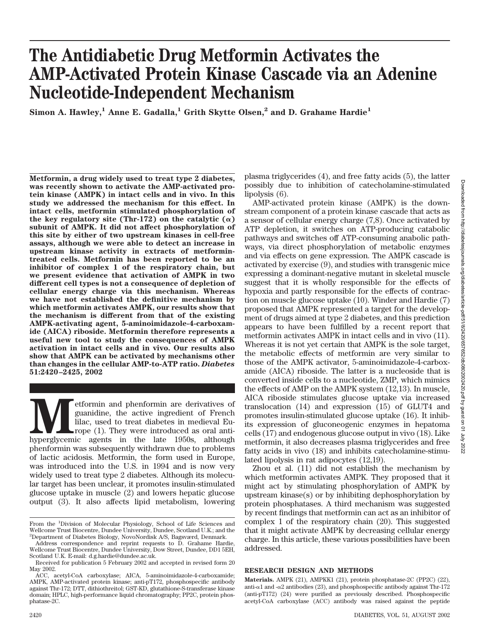# **The Antidiabetic Drug Metformin Activates the AMP-Activated Protein Kinase Cascade via an Adenine Nucleotide-Independent Mechanism**

Simon A. Hawley,<sup>1</sup> Anne E. Gadalla,<sup>1</sup> Grith Skytte Olsen,<sup>2</sup> and D. Grahame Hardie<sup>1</sup>

**Metformin, a drug widely used to treat type 2 diabetes, was recently shown to activate the AMP-activated protein kinase (AMPK) in intact cells and in vivo. In this study we addressed the mechanism for this effect. In intact cells, metformin stimulated phosphorylation of** the key regulatory site (Thr-172) on the catalytic  $(\alpha)$ **subunit of AMPK. It did not affect phosphorylation of this site by either of two upstream kinases in cell-free assays, although we were able to detect an increase in upstream kinase activity in extracts of metformintreated cells. Metformin has been reported to be an inhibitor of complex 1 of the respiratory chain, but we present evidence that activation of AMPK in two different cell types is not a consequence of depletion of cellular energy charge via this mechanism. Whereas we have not established the definitive mechanism by which metformin activates AMPK, our results show that the mechanism is different from that of the existing AMPK-activating agent, 5-aminoimidazole-4-carboxamide (AICA) riboside. Metformin therefore represents a useful new tool to study the consequences of AMPK activation in intact cells and in vivo. Our results also show that AMPK can be activated by mechanisms other than changes in the cellular AMP-to-ATP ratio.** *Diabetes* **51:2420–2425, 2002**

**Metformin** and phenformin are derivatives of guanidine, the active ingredient of French lilac, used to treat diabetes in medieval Europe (1). They were introduced as oral anti-hyperglycemic agents in the late 1950s, altho guanidine, the active ingredient of French lilac, used to treat diabetes in medieval Europe  $(1)$ . They were introduced as oral antiphenformin was subsequently withdrawn due to problems of lactic acidosis. Metformin, the form used in Europe, was introduced into the U.S. in 1994 and is now very widely used to treat type 2 diabetes. Although its molecular target has been unclear, it promotes insulin-stimulated glucose uptake in muscle (2) and lowers hepatic glucose output (3). It also affects lipid metabolism, lowering plasma triglycerides (4), and free fatty acids (5), the latter possibly due to inhibition of catecholamine-stimulated lipolysis (6).

AMP-activated protein kinase (AMPK) is the downstream component of a protein kinase cascade that acts as a sensor of cellular energy charge (7,8). Once activated by ATP depletion, it switches on ATP-producing catabolic pathways and switches off ATP-consuming anabolic pathways, via direct phosphorylation of metabolic enzymes and via effects on gene expression. The AMPK cascade is activated by exercise (9), and studies with transgenic mice expressing a dominant-negative mutant in skeletal muscle suggest that it is wholly responsible for the effects of hypoxia and partly responsible for the effects of contraction on muscle glucose uptake (10). Winder and Hardie (7) proposed that AMPK represented a target for the development of drugs aimed at type 2 diabetes, and this prediction appears to have been fulfilled by a recent report that metformin activates AMPK in intact cells and in vivo (11). Whereas it is not yet certain that AMPK is the sole target, the metabolic effects of metformin are very similar to those of the AMPK activator, 5-aminoimidazole-4-carboxamide (AICA) riboside. The latter is a nucleoside that is converted inside cells to a nucleotide, ZMP, which mimics the effects of AMP on the AMPK system (12,13). In muscle, AICA riboside stimulates glucose uptake via increased translocation (14) and expression (15) of GLUT4 and promotes insulin-stimulated glucose uptake (16). It inhibits expression of gluconeogenic enzymes in hepatoma cells (17) and endogenous glucose output in vivo (18). Like metformin, it also decreases plasma triglycerides and free fatty acids in vivo (18) and inhibits catecholamine-stimulated lipolysis in rat adipocytes (12,19).

Zhou et al. (11) did not establish the mechanism by which metformin activates AMPK. They proposed that it might act by stimulating phosphorylation of AMPK by upstream kinase(s) or by inhibiting dephosphorylation by protein phosphatases. A third mechanism was suggested by recent findings that metformin can act as an inhibitor of complex 1 of the respiratory chain (20). This suggested that it might activate AMPK by decreasing cellular energy charge. In this article, these various possibilities have been addressed.

## **RESEARCH DESIGN AND METHODS**

**Materials.** AMPK (21), AMPKK1 (21), protein phosphatase-2C (PP2C) (22), anti- $\alpha$ 1 and - $\alpha$ 2 antibodies (23), and phosphospecific antibody against Thr-172 (anti-pT172) (24) were purified as previously described. Phosphospecific acetyl-CoA carboxylase (ACC) antibody was raised against the peptide

From the <sup>1</sup>Division of Molecular Physiology, School of Life Sciences and Wellcome Trust Biocentre, Dundee University, Dundee, Scotland U.K.; and the 2 Department of Diabetes Biology, NovoNordisk A/S, Bagsværd, Denmark.

Address correspondence and reprint requests to D. Grahame Hardie, Wellcome Trust Biocentre, Dundee University, Dow Street, Dundee, DD1 5EH, Scotland U.K. E-mail: d.g.hardie@dundee.ac.uk.

Received for publication 5 February 2002 and accepted in revised form 20 May 2002.

ACC, acetyl-CoA carboxylase; AICA, 5-aminoimidazole-4-carboxamide; AMPK, AMP-activated protein kinase; anti-pT172, phosphospecific antibody against Thr-172; DTT, dithiothreitol; GST-KD, glutathione-S-transferase kinase domain; HPLC, high-performance liquid chromatography; PP2C, protein phosphatase-2C.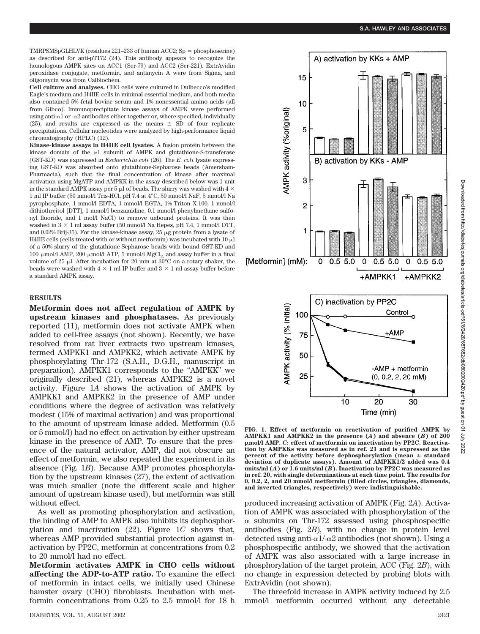TMRPSMSpGLHLVK (residues 221–233 of human ACC2; Sp = phosphoserine) as described for anti-pT172 (24). This antibody appears to recognize the homologous AMPK sites on ACC1 (Ser-79) and ACC2 (Ser-221). ExtrAvidin peroxidase conjugate, metformin, and antimycin A were from Sigma, and oligomycin was from Calbiochem.

**Cell culture and analyses.** CHO cells were cultured in Dulbecco's modified Eagle's medium and H4IIE cells in minimal essential medium, and both media also contained 5% fetal bovine serum and 1% nonessential amino acids (all from Gibco). Immunoprecipitate kinase assays of AMPK were performed using anti- $\alpha$ 1 or - $\alpha$ 2 antibodies either together or, where specified, individually (25), and results are expressed as the means  $\pm$  SD of four replicate precipitations. Cellular nucleotides were analyzed by high-performance liquid chromatography (HPLC) (12).

**Kinase-kinase assays in H4IIE cell lysates.** A fusion protein between the kinase domain of the  $\alpha$ 1 subunit of AMPK and glutathione-S-transferase (GST-KD) was expressed in *Escherichia coli* (26). The *E. coli* lysate expressing GST-KD was absorbed onto glutathione-Sepharose beads (Amersham-Pharmacia), such that the final concentration of kinase after maximal activation using MgATP and AMPKK in the assay described below was 1 unit in the standard AMPK assay per 5  $\mu$ l of beads. The slurry was washed with 4  $\times$ 1 ml IP buffer (50 mmol/l Tris-HCl, pH 7.4 at 4°C, 50 mmol/l NaF, 5 mmol/l Na pyrophosphate, 1 mmol/l EDTA, 1 mmol/l EGTA, 1% Triton X-100, 1 mmol/l dithiothreitol [DTT], 1 mmol/l benzamidine, 0.1 mmol/l phenylmethane sulfonyl fluoride, and 1 mol/l NaCl) to remove unbound proteins. It was then washed in  $3 \times 1$  ml assay buffer (50 mmol/l Na Hepes, pH 7.4, 1 mmol/l DTT, and  $0.02\%$  Brij-35). For the kinase-kinase assay, 25  $\mu$ g protein from a lysate of H4IIE cells (cells treated with or without metformin) was incubated with  $10 \mu$ l of a 50% slurry of the glutathione-Sepharose beads with bound GST-KD and 100  $\mu$ mol/l AMP, 200  $\mu$ mol/l ATP, 5 mmol/l MgCl<sub>2</sub> and assay buffer in a final volume of 25  $\mu$ l. After incubation for 20 min at 30°C on a rotary shaker, the beads were washed with  $4 \times 1$  ml IP buffer and  $3 \times 1$  ml assay buffer before a standard AMPK assay.

#### **RESULTS**

**Metformin does not affect regulation of AMPK by upstream kinases and phosphatases.** As previously reported (11), metformin does not activate AMPK when added to cell-free assays (not shown). Recently, we have resolved from rat liver extracts two upstream kinases, termed AMPKK1 and AMPKK2, which activate AMPK by phosphorylating Thr-172 (S.A.H., D.G.H., manuscript in preparation). AMPKK1 corresponds to the "AMPKK" we originally described (21), whereas AMPKK2 is a novel activity. Figure 1*A* shows the activation of AMPK by AMPKK1 and AMPKK2 in the presence of AMP under conditions where the degree of activation was relatively modest (15% of maximal activation) and was proportional to the amount of upstream kinase added. Metformin (0.5 or 5 mmol/l) had no effect on activation by either upstream kinase in the presence of AMP. To ensure that the presence of the natural activator, AMP, did not obscure an effect of metformin, we also repeated the experiment in its absence (Fig. 1*B*). Because AMP promotes phosphorylation by the upstream kinases (27), the extent of activation was much smaller (note the different scale and higher amount of upstream kinase used), but metformin was still without effect.

As well as promoting phosphorylation and activation, the binding of AMP to AMPK also inhibits its dephosphorylation and inactivation (22). Figure 1*C* shows that, whereas AMP provided substantial protection against inactivation by PP2C, metformin at concentrations from 0.2 to 20 mmol/l had no effect.

**Metformin activates AMPK in CHO cells without affecting the ADP-to-ATP ratio.** To examine the effect of metformin in intact cells, we initially used Chinese hamster ovary (CHO) fibroblasts. Incubation with metformin concentrations from 0.25 to 2.5 mmol/l for 18 h



**FIG. 1. Effect of metformin on reactivation of purified AMPK by AMPKK1 and AMPKK2 in the presence (***A***) and absence (***B***) of 200** -**mol/l AMP.** *C***: effect of metformin on inactivation by PP2C. Reactivation by AMPKKs was measured as in ref. 21 and is expressed as the percent of the activity before dephosphorylation (mean standard deviation of duplicate assays). Amount of AMPKK1/2 added was 0.4 units/ml (***A***) or 1.6 units/ml (***B***). Inactivation by PP2C was measured as in ref. 20, with single determinations at each time point. The results for 0, 0.2, 2, and 20 mmol/l metformin (filled circles, triangles, diamonds, and inverted triangles, respectively) were indistinguishable.**

produced increasing activation of AMPK (Fig. 2*A*). Activation of AMPK was associated with phosphorylation of the  $\alpha$  subunits on Thr-172 assessed using phosphospecific antibodies (Fig. 2*B*), with no change in protein level detected using anti- $\alpha$ 1/- $\alpha$ 2 antibodies (not shown). Using a phosphospecific antibody, we showed that the activation of AMPK was also associated with a large increase in phosphorylation of the target protein, ACC (Fig. 2*B*), with no change in expression detected by probing blots with ExtrAvidin (not shown).

The threefold increase in AMPK activity induced by 2.5 mmol/l metformin occurred without any detectable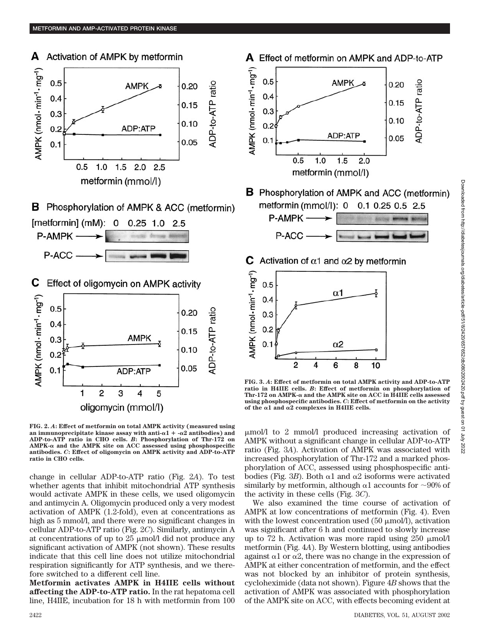

**B** Phosphorylation of AMPK & ACC (metformin)  $[metformin]$  (mM): 0  $0.25$  1.0 2.5



С Effect of oligomycin on AMPK activity



**FIG. 2.** *A***: Effect of metformin on total AMPK activity (measured using** an immunoprecipitate kinase assay with anti- $\alpha$ 1 +  $-\alpha$ 2 antibodies) and **ADP-to-ATP ratio in CHO cells.** *B***: Phosphorylation of Thr-172 on**  $AMPK-\alpha$  and the  $AMPK$  site on ACC assessed using phosphospecific **antibodies.** *C***: Effect of oligomycin on AMPK activity and ADP-to-ATP ratio in CHO cells.**

change in cellular ADP-to-ATP ratio (Fig. 2*A*). To test whether agents that inhibit mitochondrial ATP synthesis would activate AMPK in these cells, we used oligomycin and antimycin A. Oligomycin produced only a very modest activation of AMPK (1.2-fold), even at concentrations as high as 5 mmol/l, and there were no significant changes in cellular ADP-to-ATP ratio (Fig. 2*C*). Similarly, antimycin A at concentrations of up to  $25 \mu \text{mol}/\text{l}$  did not produce any significant activation of AMPK (not shown). These results indicate that this cell line does not utilize mitochondrial respiration significantly for ATP synthesis, and we therefore switched to a different cell line.

**Metformin activates AMPK in H4IIE cells without affecting the ADP-to-ATP ratio.** In the rat hepatoma cell line, H4IIE, incubation for 18 h with metformin from 100



**FIG. 3.** *A***: Effect of metformin on total AMPK activity and ADP-to-ATP ratio in H4IIE cells.** *B***: Effect of metformin on phosphorylation of** Thr-172 on AMPK- $\alpha$  and the AMPK site on ACC in  $\widehat{H4IIE}$  cells assessed **using phosphospecific antibodies.** *C***: Effect of metformin on the activity** of the  $\alpha$ 1 and  $\alpha$ 2 complexes in H4IIE cells.

mol/l to 2 mmol/l produced increasing activation of AMPK without a significant change in cellular ADP-to-ATP ratio (Fig. 3*A*). Activation of AMPK was associated with increased phosphorylation of Thr-172 and a marked phosphorylation of ACC, assessed using phosphospecific antibodies (Fig. 3*B*). Both  $\alpha$ 1 and  $\alpha$ 2 isoforms were activated similarly by metformin, although  $\alpha$ 1 accounts for  $\sim$ 90% of the activity in these cells (Fig. 3*C*).

We also examined the time course of activation of AMPK at low concentrations of metformin (Fig. 4). Even with the lowest concentration used  $(50 \mu \text{mol/l})$ , activation was significant after 6 h and continued to slowly increase up to 72 h. Activation was more rapid using  $250 \mu m o l/l$ metformin (Fig. 4*A*). By Western blotting, using antibodies against  $\alpha$ 1 or  $\alpha$ 2, there was no change in the expression of AMPK at either concentration of metformin, and the effect was not blocked by an inhibitor of protein synthesis, cycloheximide (data not shown). Figure 4*B* shows that the activation of AMPK was associated with phosphorylation of the AMPK site on ACC, with effects becoming evident at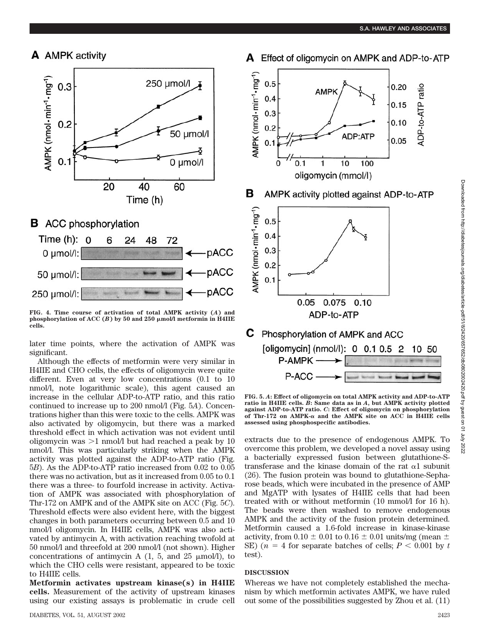





**FIG. 4. Time course of activation of total AMPK activity (***A***) and**  $p$ hosphorylation of ACC  $(B)$  by 50 and 250  $\mu$ mol/l metformin in H4IIE **cells.**

later time points, where the activation of AMPK was significant.

Although the effects of metformin were very similar in H4IIE and CHO cells, the effects of oligomycin were quite different. Even at very low concentrations (0.1 to 10 nmol/l, note logarithmic scale), this agent caused an increase in the cellular ADP-to-ATP ratio, and this ratio continued to increase up to 200 nmol/l (Fig. 5*A*). Concentrations higher than this were toxic to the cells. AMPK was also activated by oligomycin, but there was a marked threshold effect in which activation was not evident until oligomycin was  $>1$  nmol/l but had reached a peak by 10 nmol/l. This was particularly striking when the AMPK activity was plotted against the ADP-to-ATP ratio (Fig. 5*B*). As the ADP-to-ATP ratio increased from 0.02 to 0.05 there was no activation, but as it increased from 0.05 to 0.1 there was a three- to fourfold increase in activity. Activation of AMPK was associated with phosphorylation of Thr-172 on AMPK and of the AMPK site on ACC (Fig. 5*C*). Threshold effects were also evident here, with the biggest changes in both parameters occurring between 0.5 and 10 nmol/l oligomycin. In H4IIE cells, AMPK was also activated by antimycin A, with activation reaching twofold at 50 nmol/l and threefold at 200 nmol/l (not shown). Higher concentrations of antimycin A  $(1, 5, \text{ and } 25 \mu \text{mol/l})$ , to which the CHO cells were resistant, appeared to be toxic to H4IIE cells.

**Metformin activates upstream kinase(s) in H4IIE cells.** Measurement of the activity of upstream kinases using our existing assays is problematic in crude cell





**FIG. 5.** *A***: Effect of oligomycin on total AMPK activity and ADP-to-ATP ratio in H4IIE cells.** *B***: Same data as in** *A***, but AMPK activity plotted against ADP-to-ATP ratio.** *C***: Effect of oligomycin on phosphorylation of Thr-172 on AMPK-α and the AMPK site on ACC in H4IIE cells assessed using phosphospecific antibodies.**

extracts due to the presence of endogenous AMPK. To overcome this problem, we developed a novel assay using a bacterially expressed fusion between glutathione-Stransferase and the kinase domain of the rat  $\alpha$ 1 subunit (26). The fusion protein was bound to glutathione-Sepharose beads, which were incubated in the presence of AMP and MgATP with lysates of H4IIE cells that had been treated with or without metformin (10 mmol/l for 16 h). The beads were then washed to remove endogenous AMPK and the activity of the fusion protein determined. Metformin caused a 1.6-fold increase in kinase-kinase activity, from  $0.10 \pm 0.01$  to  $0.16 \pm 0.01$  units/mg (mean  $\pm$ SE)  $(n = 4$  for separate batches of cells;  $P < 0.001$  by *t* test).

### **DISCUSSION**

Whereas we have not completely established the mechanism by which metformin activates AMPK, we have ruled out some of the possibilities suggested by Zhou et al. (11)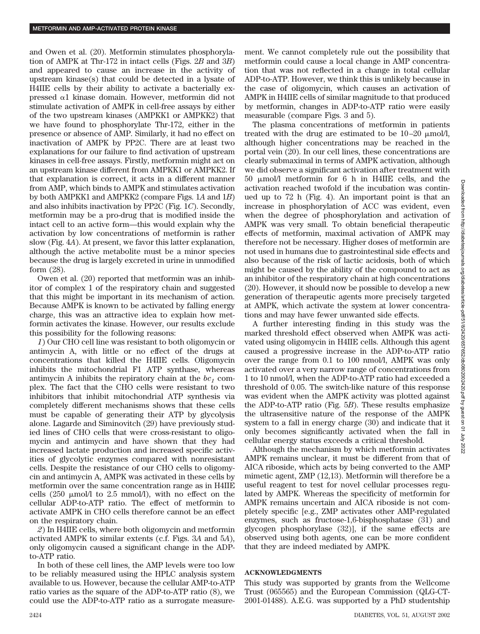and Owen et al. (20). Metformin stimulates phosphorylation of AMPK at Thr-172 in intact cells (Figs. 2*B* and 3*B*) and appeared to cause an increase in the activity of upstream kinase(s) that could be detected in a lysate of H4IIE cells by their ability to activate a bacterially expressed  $\alpha$ 1 kinase domain. However, metformin did not stimulate activation of AMPK in cell-free assays by either of the two upstream kinases (AMPKK1 or AMPKK2) that we have found to phosphorylate Thr-172, either in the presence or absence of AMP. Similarly, it had no effect on inactivation of AMPK by PP2C. There are at least two explanations for our failure to find activation of upstream kinases in cell-free assays. Firstly, metformin might act on an upstream kinase different from AMPKK1 or AMPKK2. If that explanation is correct, it acts in a different manner from AMP, which binds to AMPK and stimulates activation by both AMPKK1 and AMPKK2 (compare Figs. 1*A* and 1*B*) and also inhibits inactivation by PP2C (Fig. 1*C*). Secondly, metformin may be a pro-drug that is modified inside the intact cell to an active form—this would explain why the activation by low concentrations of metformin is rather slow (Fig. 4*A*). At present, we favor this latter explanation, although the active metabolite must be a minor species because the drug is largely excreted in urine in unmodified form (28).

Owen et al. (20) reported that metformin was an inhibitor of complex 1 of the respiratory chain and suggested that this might be important in its mechanism of action. Because AMPK is known to be activated by falling energy charge, this was an attractive idea to explain how metformin activates the kinase. However, our results exclude this possibility for the following reasons:

*1*) Our CHO cell line was resistant to both oligomycin or antimycin A, with little or no effect of the drugs at concentrations that killed the H4IIE cells. Oligomycin inhibits the mitochondrial F1 ATP synthase, whereas antimycin A inhibits the repiratory chain at the  $bc_1$  complex. The fact that the CHO cells were resistant to two inhibitors that inhibit mitochondrial ATP synthesis via completely different mechanisms shows that these cells must be capable of generating their ATP by glycolysis alone. Lagarde and Siminovitch (29) have previously studied lines of CHO cells that were cross-resistant to oligomycin and antimycin and have shown that they had increased lactate production and increased specific activities of glycolytic enzymes compared with nonresistant cells. Despite the resistance of our CHO cells to oligomycin and antimycin A, AMPK was activated in these cells by metformin over the same concentration range as in H4IIE cells  $(250 \mu \text{mol}/l \text{ to } 2.5 \text{mmol}/l)$ , with no effect on the cellular ADP-to-ATP ratio. The effect of metformin to activate AMPK in CHO cells therefore cannot be an effect on the respiratory chain.

*2*) In H4IIE cells, where both oligomycin and metformin activated AMPK to similar extents (c.f. Figs. 3*A* and 5*A*), only oligomycin caused a significant change in the ADPto-ATP ratio.

In both of these cell lines, the AMP levels were too low to be reliably measured using the HPLC analysis system available to us. However, because the cellular AMP-to-ATP ratio varies as the square of the ADP-to-ATP ratio (8), we could use the ADP-to-ATP ratio as a surrogate measurement. We cannot completely rule out the possibility that metformin could cause a local change in AMP concentration that was not reflected in a change in total cellular ADP-to-ATP. However, we think this is unlikely because in the case of oligomycin, which causes an activation of AMPK in H4IIE cells of similar magnitude to that produced by metformin, changes in ADP-to-ATP ratio were easily measurable (compare Figs. 3 and 5).

The plasma concentrations of metformin in patients treated with the drug are estimated to be  $10-20 \mu m o/l$ , although higher concentrations may be reached in the portal vein (20). In our cell lines, these concentrations are clearly submaximal in terms of AMPK activation, although we did observe a significant activation after treatment with 50 mol/l metformin for 6 h in H4IIE cells, and the activation reached twofold if the incubation was continued up to 72 h (Fig. 4). An important point is that an increase in phosphorylation of ACC was evident, even when the degree of phosphorylation and activation of AMPK was very small. To obtain beneficial therapeutic effects of metformin, maximal activation of AMPK may therefore not be necessary. Higher doses of metformin are not used in humans due to gastrointestinal side effects and also because of the risk of lactic acidosis, both of which might be caused by the ability of the compound to act as an inhibitor of the respiratory chain at high concentrations (20). However, it should now be possible to develop a new generation of therapeutic agents more precisely targeted at AMPK, which activate the system at lower concentrations and may have fewer unwanted side effects.

A further interesting finding in this study was the marked threshold effect observed when AMPK was activated using oligomycin in H4IIE cells. Although this agent caused a progressive increase in the ADP-to-ATP ratio over the range from 0.1 to 100 nmol/l, AMPK was only activated over a very narrow range of concentrations from 1 to 10 nmol/l, when the ADP-to-ATP ratio had exceeded a threshold of 0.05. The switch-like nature of this response was evident when the AMPK activity was plotted against the ADP-to-ATP ratio (Fig. 5*B*). These results emphasize the ultrasensitive nature of the response of the AMPK system to a fall in energy charge (30) and indicate that it only becomes significantly activated when the fall in cellular energy status exceeds a critical threshold.

Although the mechanism by which metformin activates AMPK remains unclear, it must be different from that of AICA riboside, which acts by being converted to the AMP mimetic agent, ZMP (12,13). Metformin will therefore be a useful reagent to test for novel cellular processes regulated by AMPK. Whereas the specificity of metformin for AMPK remains uncertain and AICA riboside is not completely specific [e.g., ZMP activates other AMP-regulated enzymes, such as fructose-1,6-bisphosphatase (31) and glycogen phosphorylase (32)], if the same effects are observed using both agents, one can be more confident that they are indeed mediated by AMPK.

## **ACKNOWLEDGMENTS**

This study was supported by grants from the Wellcome Trust (065565) and the European Commission (QLG-CT-2001-01488). A.E.G. was supported by a PhD studentship